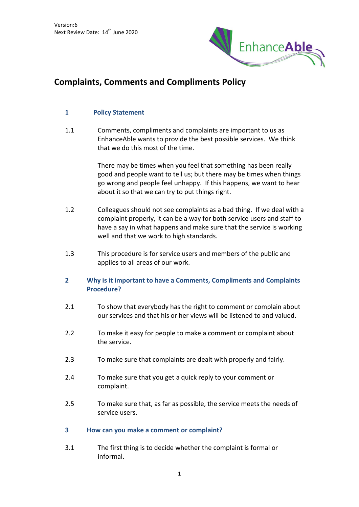

# **Complaints, Comments and Compliments Policy**

### **1 Policy Statement**

1.1 Comments, compliments and complaints are important to us as EnhanceAble wants to provide the best possible services. We think that we do this most of the time.

> There may be times when you feel that something has been really good and people want to tell us; but there may be times when things go wrong and people feel unhappy. If this happens, we want to hear about it so that we can try to put things right.

- 1.2 Colleagues should not see complaints as a bad thing. If we deal with a complaint properly, it can be a way for both service users and staff to have a say in what happens and make sure that the service is working well and that we work to high standards.
- 1.3 This procedure is for service users and members of the public and applies to all areas of our work.

# **2 Why is it important to have a Comments, Compliments and Complaints Procedure?**

- 2.1 To show that everybody has the right to comment or complain about our services and that his or her views will be listened to and valued.
- 2.2 To make it easy for people to make a comment or complaint about the service.
- 2.3 To make sure that complaints are dealt with properly and fairly.
- 2.4 To make sure that you get a quick reply to your comment or complaint.
- 2.5 To make sure that, as far as possible, the service meets the needs of service users.

#### **3 How can you make a comment or complaint?**

3.1 The first thing is to decide whether the complaint is formal or informal.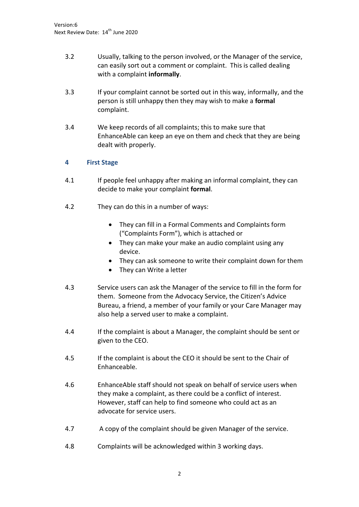- 3.2 Usually, talking to the person involved, or the Manager of the service, can easily sort out a comment or complaint. This is called dealing with a complaint **informally**.
- 3.3 If your complaint cannot be sorted out in this way, informally, and the person is still unhappy then they may wish to make a **formal** complaint.
- 3.4 We keep records of all complaints; this to make sure that EnhanceAble can keep an eye on them and check that they are being dealt with properly.

# **4 First Stage**

- 4.1 If people feel unhappy after making an informal complaint, they can decide to make your complaint **formal**.
- 4.2 They can do this in a number of ways:
	- They can fill in a Formal Comments and Complaints form ("Complaints Form"), which is attached or
	- They can make your make an audio complaint using any device.
	- They can ask someone to write their complaint down for them
	- They can Write a letter
- 4.3 Service users can ask the Manager of the service to fill in the form for them. Someone from the Advocacy Service, the Citizen's Advice Bureau, a friend, a member of your family or your Care Manager may also help a served user to make a complaint.
- 4.4 If the complaint is about a Manager, the complaint should be sent or given to the CEO.
- 4.5 If the complaint is about the CEO it should be sent to the Chair of Enhanceable.
- 4.6 EnhanceAble staff should not speak on behalf of service users when they make a complaint, as there could be a conflict of interest. However, staff can help to find someone who could act as an advocate for service users.
- 4.7 A copy of the complaint should be given Manager of the service.
- 4.8 Complaints will be acknowledged within 3 working days.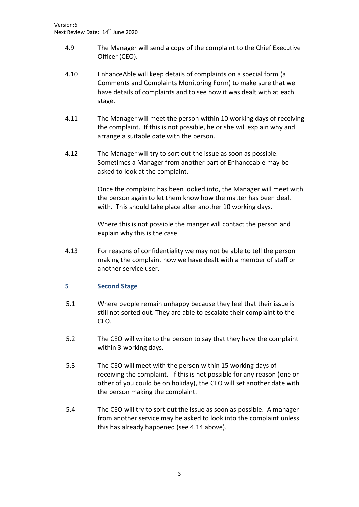- 4.9 The Manager will send a copy of the complaint to the Chief Executive Officer (CEO).
- 4.10 EnhanceAble will keep details of complaints on a special form (a Comments and Complaints Monitoring Form) to make sure that we have details of complaints and to see how it was dealt with at each stage.
- 4.11 The Manager will meet the person within 10 working days of receiving the complaint. If this is not possible, he or she will explain why and arrange a suitable date with the person.
- 4.12 The Manager will try to sort out the issue as soon as possible. Sometimes a Manager from another part of Enhanceable may be asked to look at the complaint.

Once the complaint has been looked into, the Manager will meet with the person again to let them know how the matter has been dealt with. This should take place after another 10 working days.

Where this is not possible the manger will contact the person and explain why this is the case.

4.13 For reasons of confidentiality we may not be able to tell the person making the complaint how we have dealt with a member of staff or another service user.

# **5 Second Stage**

- 5.1 Where people remain unhappy because they feel that their issue is still not sorted out. They are able to escalate their complaint to the CEO.
- 5.2 The CEO will write to the person to say that they have the complaint within 3 working days.
- 5.3 The CEO will meet with the person within 15 working days of receiving the complaint. If this is not possible for any reason (one or other of you could be on holiday), the CEO will set another date with the person making the complaint.
- 5.4 The CEO will try to sort out the issue as soon as possible. A manager from another service may be asked to look into the complaint unless this has already happened (see 4.14 above).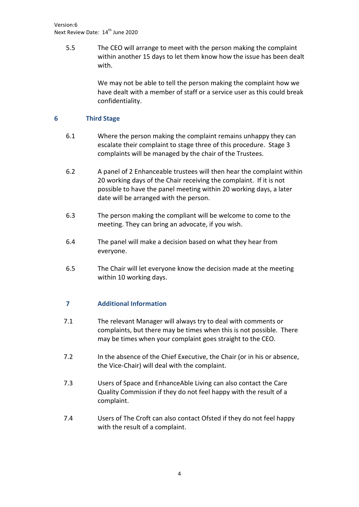5.5 The CEO will arrange to meet with the person making the complaint within another 15 days to let them know how the issue has been dealt with.

> We may not be able to tell the person making the complaint how we have dealt with a member of staff or a service user as this could break confidentiality.

### **6 Third Stage**

- 6.1 Where the person making the complaint remains unhappy they can escalate their complaint to stage three of this procedure. Stage 3 complaints will be managed by the chair of the Trustees.
- 6.2 A panel of 2 Enhanceable trustees will then hear the complaint within 20 working days of the Chair receiving the complaint. If it is not possible to have the panel meeting within 20 working days, a later date will be arranged with the person.
- 6.3 The person making the compliant will be welcome to come to the meeting. They can bring an advocate, if you wish.
- 6.4 The panel will make a decision based on what they hear from everyone.
- 6.5 The Chair will let everyone know the decision made at the meeting within 10 working days.

# **7 Additional Information**

- 7.1 The relevant Manager will always try to deal with comments or complaints, but there may be times when this is not possible. There may be times when your complaint goes straight to the CEO.
- 7.2 In the absence of the Chief Executive, the Chair (or in his or absence, the Vice-Chair) will deal with the complaint.
- 7.3 Users of Space and EnhanceAble Living can also contact the Care Quality Commission if they do not feel happy with the result of a complaint.
- 7.4 Users of The Croft can also contact Ofsted if they do not feel happy with the result of a complaint.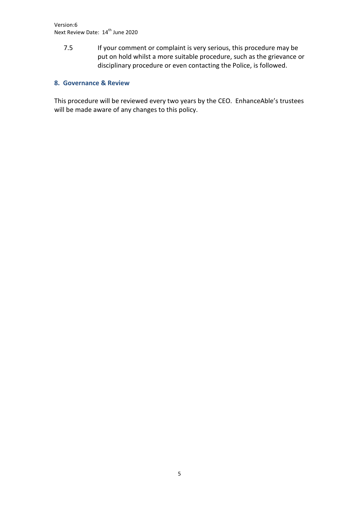7.5 If your comment or complaint is very serious, this procedure may be put on hold whilst a more suitable procedure, such as the grievance or disciplinary procedure or even contacting the Police, is followed.

# **8. Governance & Review**

This procedure will be reviewed every two years by the CEO. EnhanceAble's trustees will be made aware of any changes to this policy.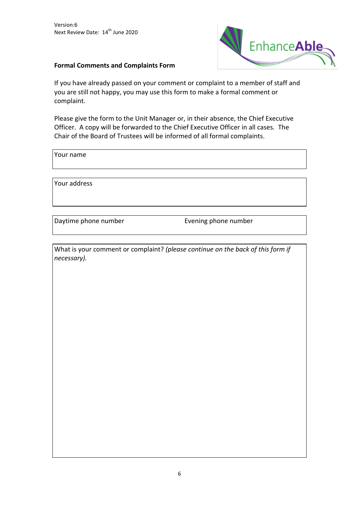

### **Formal Comments and Complaints Form**

If you have already passed on your comment or complaint to a member of staff and you are still not happy, you may use this form to make a formal comment or complaint.

Please give the form to the Unit Manager or, in their absence, the Chief Executive Officer. A copy will be forwarded to the Chief Executive Officer in all cases. The Chair of the Board of Trustees will be informed of all formal complaints.

Your name

Your address

Daytime phone number Evening phone number

What is your comment or complaint? *(please continue on the back of this form if necessary).*